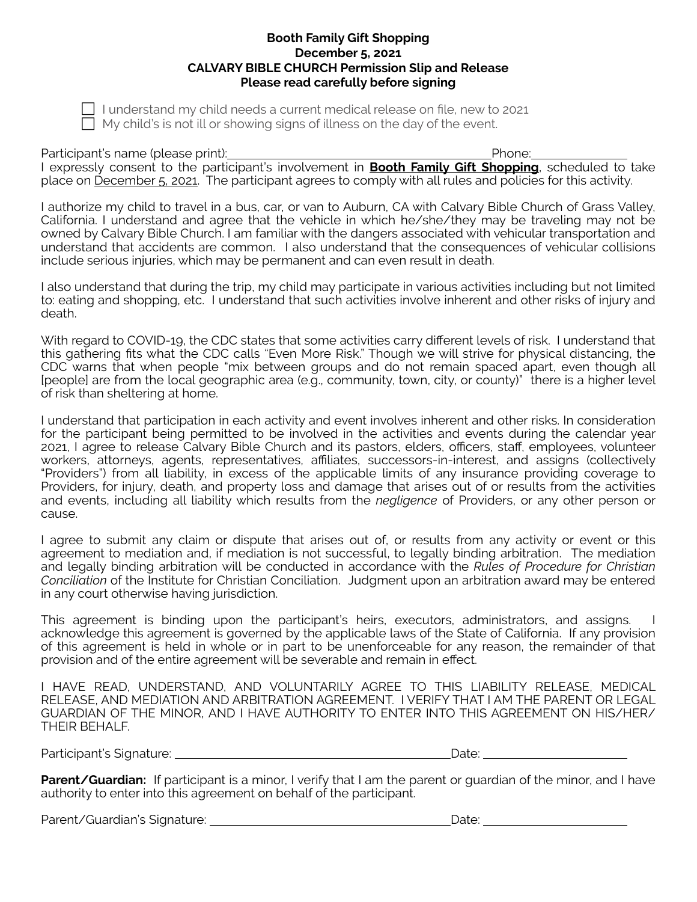## **Booth Family Gift Shopping December 5, 2021 CALVARY BIBLE CHURCH Permission Slip and Release Please read carefully before signing**

! I understand my child needs a current medical release on file, new to 2021  $\Box$  My child's is not ill or showing signs of illness on the day of the event.

Participant's name (please print): Phone: Phone: Phone: Phone: Phone: Phone: Phone: Phone: Phone: Phone: Phone: Phone: Phone: Phone: Phone: Phone: Phone: Phone: Phone: Phone: Phone: Phone: Phone: Phone: Phone: Phone: Phone I expressly consent to the participant's involvement in **Booth Family Gift Shopping**, scheduled to take place on December 5, 2021. The participant agrees to comply with all rules and policies for this activity.

I authorize my child to travel in a bus, car, or van to Auburn, CA with Calvary Bible Church of Grass Valley, California. I understand and agree that the vehicle in which he/she/they may be traveling may not be owned by Calvary Bible Church. I am familiar with the dangers associated with vehicular transportation and understand that accidents are common. I also understand that the consequences of vehicular collisions include serious injuries, which may be permanent and can even result in death.

I also understand that during the trip, my child may participate in various activities including but not limited to: eating and shopping, etc. I understand that such activities involve inherent and other risks of injury and death.

With regard to COVID-19, the CDC states that some activities carry different levels of risk. I understand that this gathering fits what the CDC calls "Even More Risk." Though we will strive for physical distancing, the CDC warns that when people "mix between groups and do not remain spaced apart, even though all [people] are from the local geographic area (e.g., community, town, city, or county)" there is a higher level of risk than sheltering at home.

I understand that participation in each activity and event involves inherent and other risks. In consideration for the participant being permitted to be involved in the activities and events during the calendar year 2021, I agree to release Calvary Bible Church and its pastors, elders, officers, staff, employees, volunteer workers, attorneys, agents, representatives, affiliates, successors-in-interest, and assigns (collectively "Providers") from all liability, in excess of the applicable limits of any insurance providing coverage to Providers, for injury, death, and property loss and damage that arises out of or results from the activities and events, including all liability which results from the *negligence* of Providers, or any other person or cause.

I agree to submit any claim or dispute that arises out of, or results from any activity or event or this agreement to mediation and, if mediation is not successful, to legally binding arbitration. The mediation and legally binding arbitration will be conducted in accordance with the *Rules of Procedure for Christian Conciliation* of the Institute for Christian Conciliation. Judgment upon an arbitration award may be entered in any court otherwise having jurisdiction.

This agreement is binding upon the participant's heirs, executors, administrators, and assigns. I acknowledge this agreement is governed by the applicable laws of the State of California. If any provision of this agreement is held in whole or in part to be unenforceable for any reason, the remainder of that provision and of the entire agreement will be severable and remain in effect.

I HAVE READ, UNDERSTAND, AND VOLUNTARILY AGREE TO THIS LIABILITY RELEASE, MEDICAL RELEASE, AND MEDIATION AND ARBITRATION AGREEMENT. I VERIFY THAT I AM THE PARENT OR LEGAL GUARDIAN OF THE MINOR, AND I HAVE AUTHORITY TO ENTER INTO THIS AGREEMENT ON HIS/HER/ THEIR BEHALF.

Participant's Signature: Date:

**Parent/Guardian:** If participant is a minor, I verify that I am the parent or guardian of the minor, and I have authority to enter into this agreement on behalf of the participant.

Parent/Guardian's Signature: Date: